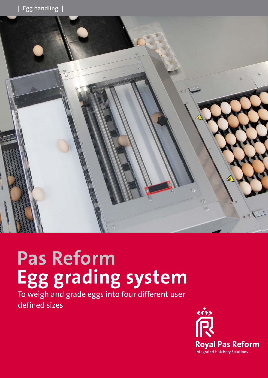

# **Pas Reform Egg grading system**

To weigh and grade eggs into four different user defined sizes